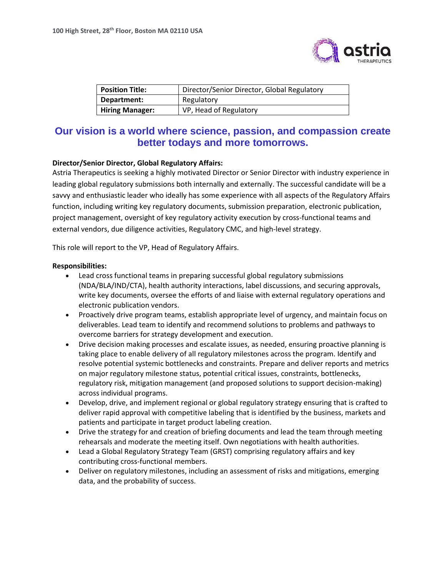

| <b>Position Title:</b> | Director/Senior Director, Global Regulatory |
|------------------------|---------------------------------------------|
| Department:            | Regulatory                                  |
| <b>Hiring Manager:</b> | VP, Head of Regulatory                      |

## **Our vision is a world where science, passion, and compassion create better todays and more tomorrows.**

## **Director/Senior Director, Global Regulatory Affairs:**

Astria Therapeutics is seeking a highly motivated Director or Senior Director with industry experience in leading global regulatory submissions both internally and externally. The successful candidate will be a savvy and enthusiastic leader who ideally has some experience with all aspects of the Regulatory Affairs function, including writing key regulatory documents, submission preparation, electronic publication, project management, oversight of key regulatory activity execution by cross-functional teams and external vendors, due diligence activities, Regulatory CMC, and high-level strategy.

This role will report to the VP, Head of Regulatory Affairs.

## **Responsibilities:**

- Lead cross functional teams in preparing successful global regulatory submissions (NDA/BLA/IND/CTA), health authority interactions, label discussions, and securing approvals, write key documents, oversee the efforts of and liaise with external regulatory operations and electronic publication vendors.
- Proactively drive program teams, establish appropriate level of urgency, and maintain focus on deliverables. Lead team to identify and recommend solutions to problems and pathways to overcome barriers for strategy development and execution.
- Drive decision making processes and escalate issues, as needed, ensuring proactive planning is taking place to enable delivery of all regulatory milestones across the program. Identify and resolve potential systemic bottlenecks and constraints. Prepare and deliver reports and metrics on major regulatory milestone status, potential critical issues, constraints, bottlenecks, regulatory risk, mitigation management (and proposed solutions to support decision-making) across individual programs.
- Develop, drive, and implement regional or global regulatory strategy ensuring that is crafted to deliver rapid approval with competitive labeling that is identified by the business, markets and patients and participate in target product labeling creation.
- Drive the strategy for and creation of briefing documents and lead the team through meeting rehearsals and moderate the meeting itself. Own negotiations with health authorities.
- Lead a Global Regulatory Strategy Team (GRST) comprising regulatory affairs and key contributing cross-functional members.
- Deliver on regulatory milestones, including an assessment of risks and mitigations, emerging data, and the probability of success.